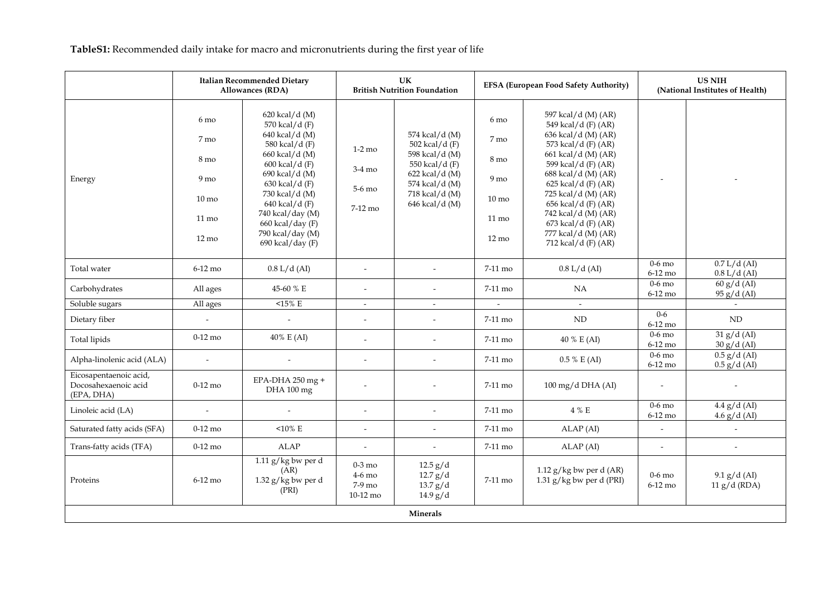**TableS1:** Recommended daily intake for macro and micronutrients during the first year of life

|                                                              | <b>Italian Recommended Dietary</b><br>Allowances (RDA)                                                      |                                                                                                                                                                                                                                                                    | UK<br><b>British Nutrition Foundation</b>  |                                                                                                                                              | <b>EFSA (European Food Safety Authority)</b>                                                                          |                                                                                                                                                                                                                                                                                                                                  | <b>US NIH</b><br>(National Institutes of Health) |                                  |  |  |
|--------------------------------------------------------------|-------------------------------------------------------------------------------------------------------------|--------------------------------------------------------------------------------------------------------------------------------------------------------------------------------------------------------------------------------------------------------------------|--------------------------------------------|----------------------------------------------------------------------------------------------------------------------------------------------|-----------------------------------------------------------------------------------------------------------------------|----------------------------------------------------------------------------------------------------------------------------------------------------------------------------------------------------------------------------------------------------------------------------------------------------------------------------------|--------------------------------------------------|----------------------------------|--|--|
| Energy                                                       | 6 mo<br>7 mo<br>8 <sub>mo</sub><br>9 <sub>mo</sub><br>$10 \text{ mo}$<br>$11 \text{ mo}$<br>$12 \text{ mo}$ | 620 kcal/d (M)<br>570 kcal/d (F)<br>640 kcal/d (M)<br>580 kcal/d (F)<br>660 kcal/d (M)<br>600 kcal/d (F)<br>690 kcal/d (M)<br>$630$ kcal/d (F)<br>730 kcal/d (M)<br>640 kcal/d (F)<br>740 kcal/day (M)<br>660 kcal/day (F)<br>790 kcal/day (M)<br>690 kcal/day (F) | $1-2$ mo<br>3-4 mo<br>5-6 mo<br>$7-12$ mo  | 574 kcal/d (M)<br>502 kcal/d (F)<br>598 kcal/d (M)<br>550 kcal/d (F)<br>622 kcal/d (M)<br>574 kcal/d (M)<br>718 kcal/d (M)<br>646 kcal/d (M) | $6 \text{ mo}$<br>7 mo<br>8 <sub>mo</sub><br>9 <sub>mo</sub><br>$10 \text{ mo}$<br>$11 \text{ mo}$<br>$12 \text{ mo}$ | 597 kcal/d (M) (AR)<br>549 kcal/d (F) (AR)<br>636 kcal/d (M) (AR)<br>573 kcal/d (F) (AR)<br>661 kcal/d (M) (AR)<br>599 kcal/d (F) (AR)<br>688 kcal/d (M) (AR)<br>625 kcal/d (F) (AR)<br>725 kcal/d (M) (AR)<br>656 kcal/d (F) (AR)<br>742 kcal/d (M) (AR)<br>$673$ kcal/d (F) (AR)<br>777 kcal/d (M) (AR)<br>712 kcal/d (F) (AR) |                                                  |                                  |  |  |
| Total water                                                  | $6-12$ mo                                                                                                   | $0.8$ L/d (AI)                                                                                                                                                                                                                                                     | $\overline{a}$                             | $\blacksquare$                                                                                                                               | 7-11 mo                                                                                                               | $0.8$ L/d (AI)                                                                                                                                                                                                                                                                                                                   | $0-6$ mo<br>6-12 mo                              | 0.7 L/d (AI)<br>$0.8$ L/d (AI)   |  |  |
| Carbohydrates                                                | All ages                                                                                                    | 45-60 % E                                                                                                                                                                                                                                                          |                                            | $\tilde{\phantom{a}}$                                                                                                                        | 7-11 mo                                                                                                               | NA                                                                                                                                                                                                                                                                                                                               | $0-6$ mo<br>6-12 mo                              | 60 g/d (AI)<br>95 g/d (AI)       |  |  |
| Soluble sugars                                               | All ages                                                                                                    | $15\%$ E                                                                                                                                                                                                                                                           | $\mathcal{L}^{\pm}$                        | $\sim$                                                                                                                                       | $\mathcal{L}^{\mathcal{L}}$                                                                                           | $\sim$                                                                                                                                                                                                                                                                                                                           |                                                  | $\sim$                           |  |  |
| Dietary fiber                                                |                                                                                                             |                                                                                                                                                                                                                                                                    | $\sim$                                     | $\tilde{\phantom{a}}$                                                                                                                        | 7-11 mo                                                                                                               | $\mbox{ND}$                                                                                                                                                                                                                                                                                                                      | $0 - 6$<br>6-12 mo                               | $\mbox{ND}$                      |  |  |
| Total lipids                                                 | $0-12$ mo                                                                                                   | 40% E (AI)                                                                                                                                                                                                                                                         | $\overline{\phantom{a}}$                   | $\sim$                                                                                                                                       | 7-11 mo                                                                                                               | 40 % E (AI)                                                                                                                                                                                                                                                                                                                      | $0-6$ mo<br>6-12 mo                              | 31 g/d (AI)<br>$30 g/d$ (AI)     |  |  |
| Alpha-linolenic acid (ALA)                                   | $\blacksquare$                                                                                              | $\overline{a}$                                                                                                                                                                                                                                                     | $\overline{a}$                             | $\overline{a}$                                                                                                                               | 7-11 mo                                                                                                               | $0.5 \% E(AI)$                                                                                                                                                                                                                                                                                                                   | $0-6$ mo<br>$6-12$ mo                            | $0.5$ g/d (AI)<br>$0.5$ g/d (AI) |  |  |
| Eicosapentaenoic acid,<br>Docosahexaenoic acid<br>(EPA, DHA) | $0-12$ mo                                                                                                   | EPA-DHA 250 mg +<br>DHA 100 mg                                                                                                                                                                                                                                     |                                            | $\overline{\phantom{a}}$                                                                                                                     | 7-11 mo                                                                                                               | 100 mg/d DHA (AI)                                                                                                                                                                                                                                                                                                                | $\overline{\phantom{a}}$                         | $\overline{\phantom{a}}$         |  |  |
| Linoleic acid (LA)                                           | $\overline{a}$                                                                                              |                                                                                                                                                                                                                                                                    | $\overline{a}$                             | $\overline{a}$                                                                                                                               | 7-11 mo                                                                                                               | 4 % E                                                                                                                                                                                                                                                                                                                            | $0-6$ mo<br>6-12 mo                              | 4.4 g/d (AI)<br>$4.6$ g/d (AI)   |  |  |
| Saturated fatty acids (SFA)                                  | $0-12$ mo                                                                                                   | $10\% \text{ E}$                                                                                                                                                                                                                                                   | $\overline{\phantom{a}}$                   | $\overline{\phantom{a}}$                                                                                                                     | 7-11 mo                                                                                                               | ALAP (AI)                                                                                                                                                                                                                                                                                                                        | $\overline{\phantom{a}}$                         | $\overline{a}$                   |  |  |
| Trans-fatty acids (TFA)                                      | $0-12$ mo                                                                                                   | <b>ALAP</b>                                                                                                                                                                                                                                                        |                                            | $\blacksquare$                                                                                                                               | 7-11 mo                                                                                                               | ALAP (AI)                                                                                                                                                                                                                                                                                                                        | $\overline{a}$                                   |                                  |  |  |
| Proteins                                                     | $6-12$ mo                                                                                                   | $1.11$ g/kg bw per d<br>(AR)<br>$1.32$ g/kg bw per d<br>(PRI)                                                                                                                                                                                                      | $0-3$ mo<br>4-6 mo<br>$7-9$ mo<br>10-12 mo | 12.5 g/d<br>12.7 g/d<br>13.7 g/d<br>14.9 g/d                                                                                                 | 7-11 mo                                                                                                               | 1.12 $g/kg$ bw per d (AR)<br>1.31 $g/kg$ bw per d (PRI)                                                                                                                                                                                                                                                                          | $0-6$ mo<br>6-12 mo                              | 9.1 g/d (AI)<br>$11 g/d$ (RDA)   |  |  |
| Minerals                                                     |                                                                                                             |                                                                                                                                                                                                                                                                    |                                            |                                                                                                                                              |                                                                                                                       |                                                                                                                                                                                                                                                                                                                                  |                                                  |                                  |  |  |